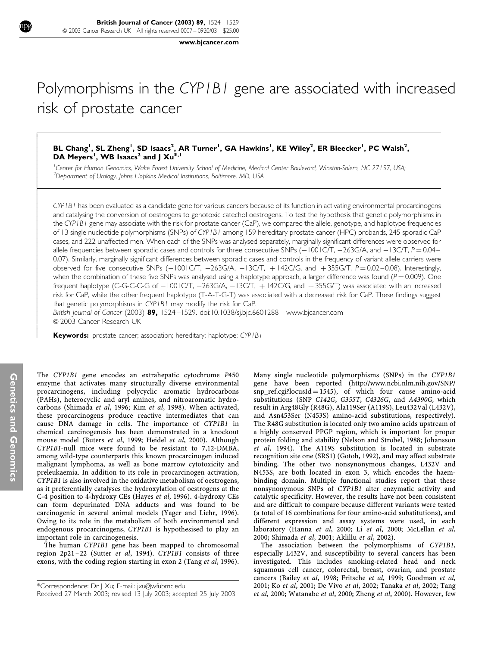www.bjcancer.com

# Polymorphisms in the CYP1B1 gene are associated with increased risk of prostate cancer

## BL Chang<sup>1</sup>, SL Zheng<sup>1</sup>, SD Isaacs<sup>2</sup>, AR Turner<sup>1</sup>, GA Hawkins<sup>1</sup>, KE Wiley<sup>2</sup>, ER Bleecker<sup>1</sup>, PC Walsh<sup>2</sup>, DA Meyers<sup>1</sup>, WB Isaacs<sup>2</sup> and J Xu<sup>\*,1</sup>

<sup>1</sup> Center for Human Genomics, Wake Forest University School of Medicine, Medical Center Boulevard, Winston-Salem, NC 27157, USA; <sup>2</sup>Department of Urology, Johns Hopkins Medical Institutions, Baltimore, MD, USA

CYP1B1 has been evaluated as a candidate gene for various cancers because of its function in activating environmental procarcinogens and catalysing the conversion of oestrogens to genotoxic catechol oestrogens. To test the hypothesis that genetic polymorphisms in the CYP1B1 gene may associate with the risk for prostate cancer (CaP), we compared the allele, genotype, and haplotype frequencies of 13 single nucleotide polymorphisms (SNPs) of CYP1B1 among 159 hereditary prostate cancer (HPC) probands, 245 sporadic CaP cases, and 222 unaffected men. When each of the SNPs was analysed separately, marginally significant differences were observed for allele frequencies between sporadic cases and controls for three consecutive SNPs  $(-1001CT, -263G/A,$  and  $-13CT, P = 0.04 - 1.06G$ 0.07). Similarly, marginally significant differences between sporadic cases and controls in the frequency of variant allele carriers were observed for five consecutive SNPs  $(-1001C/T, -263G/A, -13C/T, +142C/G,$  and  $+355G/T, P = 0.02 - 0.08)$ . Interestingly, when the combination of these five SNPs was analysed using a haplotype approach, a larger difference was found ( $P = 0.009$ ). One frequent haplotype (C-G-C-C-G of  $-1001$ C/T,  $-263$ G/A,  $-13$ C/T,  $+142$ C/G, and  $+355$ G/T) was associated with an increased risk for CaP, while the other frequent haplotype (T-A-T-G-T) was associated with a decreased risk for CaP. These findings suggest that genetic polymorphisms in CYP1B1 may modify the risk for CaP.

British Journal of Cancer (2003) 89, 1524–1529. doi:10.1038/sj.bjc.6601288 www.bjcancer.com & 2003 Cancer Research UK

Keywords: prostate cancer; association; hereditary; haplotype; CYPIBI

The CYP1B1 gene encodes an extrahepatic cytochrome P450 enzyme that activates many structurally diverse environmental procarcinogens, including polycyclic aromatic hydrocarbons (PAHs), heterocyclic and aryl amines, and nitroaromatic hydrocarbons (Shimada et al, 1996; Kim et al, 1998). When activated, these procarcinogens produce reactive intermediates that can cause DNA damage in cells. The importance of CYP1B1 in chemical carcinogenesis has been demonstrated in a knockout mouse model (Buters et al, 1999; Heidel et al, 2000). Although CYP1B1-null mice were found to be resistant to 7,12-DMBA, among wild-type counterparts this known procarcinogen induced malignant lymphoma, as well as bone marrow cytotoxicity and preleukaemia. In addition to its role in procarcinogen activation, CYP1B1 is also involved in the oxidative metabolism of oestrogens, as it preferentially catalyses the hydroxylation of oestrogens at the C-4 position to 4-hydroxy CEs (Hayes et al, 1996). 4-hydroxy CEs can form depurinated DNA adducts and was found to be carcinogenic in several animal models (Yager and Liehr, 1996). Owing to its role in the metabolism of both environmental and endogenous procarcinogens, CYP1B1 is hypothesised to play an important role in carcinogenesis.

The human CYP1B1 gene has been mapped to chromosomal region 2p21-22 (Sutter et al, 1994). CYP1B1 consists of three exons, with the coding region starting in exon 2 (Tang et al, 1996). Many single nucleotide polymorphisms (SNPs) in the CYP1B1 gene have been reported (http://www.ncbi.nlm.nih.gov/SNP/  $snp_ref.cgi?locusId = 1545$ , of which four cause amino-acid substitutions (SNP C142G, G355T, C4326G, and A4390G, which result in Arg48Gly (R48G), Ala119Ser (A119S), Leu432Val (L432V), and Asn453Ser (N453S) amino-acid substitutions, respectively). The R48G substitution is located only two amino acids upstream of a highly conserved PPGP region, which is important for proper protein folding and stability (Nelson and Strobel, 1988; Johansson et al, 1994). The A119S substitution is located in substrate recognition site one (SRS1) (Gotoh, 1992), and may affect substrate binding. The other two nonsynonymous changes, L432V and N453S, are both located in exon 3, which encodes the haembinding domain. Multiple functional studies report that these nonsynonymous SNPs of CYP1B1 alter enzymatic activity and catalytic specificity. However, the results have not been consistent and are difficult to compare because different variants were tested (a total of 16 combinations for four amino-acid substitutions), and different expression and assay systems were used, in each laboratory (Hanna *et al*, 2000; Li *et al*, 2000; McLellan *et al*, 2000; Shimada et al, 2001; Aklillu et al, 2002).

The association between the polymorphisms of CYP1B1, especially L432V, and susceptibility to several cancers has been investigated. This includes smoking-related head and neck squamous cell cancer, colorectal, breast, ovarian, and prostate cancers (Bailey et al, 1998; Fritsche et al, 1999; Goodman et al, 2001; Ko et al, 2001; De Vivo et al, 2002; Tanaka et al, 2002; Tang Received 27 March 2003; revised 13 July 2003; accepted 25 July 2003 et al, 2000; Watanabe et al, 2000; Zheng et al, 2000). However, few

Í I I I

I I I ļ ľ ł

ł I I I I I

I I I I I

ł I I I I

<sup>\*</sup>Correspondence: Dr J Xu; E-mail: jxu@wfubmc.edu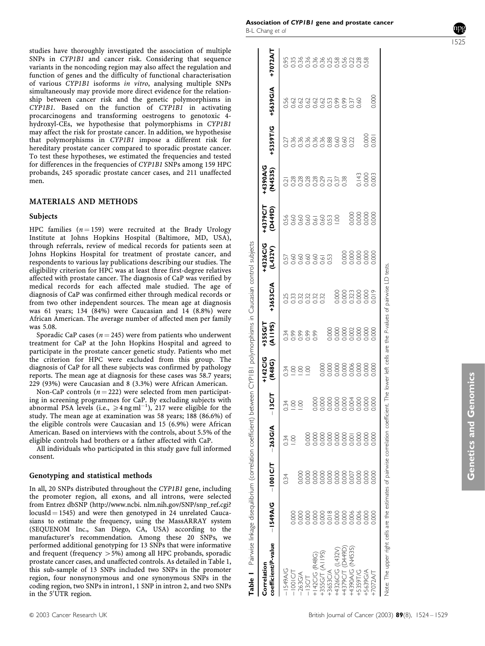studies have thoroughly investigated the association of multiple SNPs in CYP1B1 and cancer risk. Considering that sequence variants in the noncoding region may also affect the regulation and function of genes and the difficulty of functional characterisation of various CYP1B1 isoforms in vitro, analysing multiple SNPs simultaneously may provide more direct evidence for the relationship between cancer risk and the genetic polymorphisms in CYP1B1. Based on the function of CYP1B1 in activating procarcinogens and transforming oestrogens to genotoxic 4 hydroxyl-CEs, we hypothesise that polymorphisms in CYP1B1 may affect the risk for prostate cancer. In addition, we hypothesise that polymorphisms in CYP1B1 impose a different risk for hereditary prostate cancer compared to sporadic prostate cancer. To test these hypotheses, we estimated the frequencies and tested for differences in the frequencies of CYP1B1 SNPs among 159 HPC probands, 245 sporadic prostate cancer cases, and 211 unaffected men.

#### MATERIALS AND METHODS

#### Subjects

HPC families  $(n = 159)$  were recruited at the Brady Urology Institute at Johns Hopkins Hospital (Baltimore, MD, USA), through referrals, review of medical records for patients seen at Johns Hopkins Hospital for treatment of prostate cancer, and respondents to various lay publications describing our studies. The eligibility criterion for HPC was at least three first-degree relatives affected with prostate cancer. The diagnosis of CaP was verified by medical records for each affected male studied. The age of diagnosis of CaP was confirmed either through medical records or from two other independent sources. The mean age at diagnosis was 61 years; 134 (84%) were Caucasian and 14 (8.8%) were African American. The average number of affected men per family was 5.08.

Sporadic CaP cases ( $n = 245$ ) were from patients who underwent treatment for CaP at the John Hopkins Hospital and agreed to participate in the prostate cancer genetic study. Patients who met the criterion for HPC were excluded from this group. The diagnosis of CaP for all these subjects was confirmed by pathology reports. The mean age at diagnosis for these cases was 58.7 years; 229 (93%) were Caucasian and 8 (3.3%) were African American.

Non-CaP controls ( $n = 222$ ) were selected from men participating in screening programmes for CaP. By excluding subjects with abnormal PSA levels (i.e.,  $\geq 4$  ng ml<sup>-1</sup>), 217 were eligible for the study. The mean age at examination was 58 years; 188 (86.6%) of the eligible controls were Caucasian and 15 (6.9%) were African American. Based on interviews with the controls, about 5.5% of the eligible controls had brothers or a father affected with CaP.

All individuals who participated in this study gave full informed consent.

#### Genotyping and statistical methods

In all, 20 SNPs distributed throughout the CYP1B1 gene, including the promoter region, all exons, and all introns, were selected from Entrez dbSNP (http://www.ncbi. nlm.nih.gov/SNP/snp\_ref.cgi?  $locusId = 1545$ ) and were then genotyped in 24 unrelated Caucasians to estimate the frequency, using the MassARRAY system (SEQUENOM Inc., San Diego, CA, USA) according to the manufacturer's recommendation. Among these 20 SNPs, we performed additional genotyping for 13 SNPs that were informative and frequent (frequency  $>5\%$ ) among all HPC probands, sporadic prostate cancer cases, and unaffected controls. As detailed in Table 1, this sub-sample of 13 SNPs included two SNPs in the promoter region, four nonsynonymous and one synonymous SNPs in the coding region, two SNPs in intron1, 1 SNP in intron 2, and two SNPs in the 5'UTR region.

(N453S) +5359T/G +5639G/A +7072A/T +7072A/T 263G/A 0.000 0.000 1.00 1.00 0.99 0.32 0.60 0.60 0.28 0.36 0.62 0.36 13C/T 0.000 0.000 0.000 1.00 0.99 0.32 0.60 0.60 0.28 0.36 0.62 0.36 +142C/G (R48G) 0.000 0.000 0.000 0.000 0.99 0.32 0.60 0.61 0.28 0.36 0.62 0.36 +355G/T (A119S) 0.000 0.000 0.000 0.000 0.000 0.32 0.61 0.60 0.29 0.36 0.62 0.36 +4370 0.000 0.000 0.0000 0.0000 0.0000 0.0000 0.0000 0.0000 0.0000 0.0000 0.0000 0.0000 0.0000 0.000 +4390A/G (N453S) 0.006 0.007 0.001 0.004 0.006 0.002 0.323 0.000 0.000 0.22 0.37 0.22 1549A/G 0.34 0.34 0.34 0.34 0.34 0.25 0.57 0.56 0.21 0.27 0.56 0.95 1001C/T 0.000 1.00 1.00 1.00 0.99 0.33 0.60 0.60 0.28 0.36 0.62 0.35 53653C/A 0.018 0.018 0.018 0.018 0.000 0.000 0.000 0.000 0.000 0.000 0.000 0.000 0.000 0.000 0.000 0.000 0.000<br>+31 0.53 0.01 0.21 0.53 0.53 0.53 0.000 0.000 0.000 0.000 0.000 0.000 0.000 0.000 0.000 0.01 0.53 0.45 0.53 0. +4326C/G (L432V) 0.000 0.000 0.000 0.000 0.000 0.000 0.000 1.00 0.37 0.60 0.99 0.58 +5359T/G 0.006 0.000 0.000 0.000 0.000 0.000 0.000 0.000 0.000 0.143 0.60 0.28 850 0.0000 0.0000 0.0000 0.0000 0.0000 0.0000 0.0000 0.0000 0.0000 0.0000 0.0000 0.0000 0.0000 0.000 0.000 0.0 +5639G/A 0000 0.000 0.0000 0.0000 0.000 0.000 0.0000 0.0000 0.0000 0.0000 0.0000 0.0000 0.0000 0.0000 0.0000 0.0000 0.0  $0000$ 3333588759<br>0000000000 +5359T/G 0.001  $\frac{1}{2}$ <br> $\frac{1}{2}$   $\frac{1}{2}$   $\frac{1}{2}$   $\frac{1}{2}$   $\frac{1}{2}$   $\frac{1}{2}$   $\frac{1}{2}$   $\frac{1}{2}$   $\frac{1}{2}$   $\frac{1}{2}$   $\frac{1}{2}$   $\frac{1}{2}$   $\frac{1}{2}$   $\frac{1}{2}$   $\frac{1}{2}$   $\frac{1}{2}$   $\frac{1}{2}$   $\frac{1}{2}$   $\frac{1}{2}$   $\frac{1}{2}$   $\frac{1}{2}$  +4390A/G +4390A/G  $(M4535)$  $0.143$ 0.003  $\frac{1}{2}$   $\frac{8}{2}$   $\frac{8}{2}$   $\frac{8}{2}$   $\frac{8}{2}$   $\frac{8}{2}$   $\frac{8}{2}$   $\frac{8}{2}$   $\frac{8}{2}$   $\frac{8}{2}$   $\frac{8}{2}$   $\frac{8}{2}$   $\frac{8}{2}$   $\frac{8}{2}$   $\frac{8}{2}$   $\frac{8}{2}$   $\frac{8}{2}$   $\frac{8}{2}$   $\frac{8}{2}$   $\frac{8}{2}$   $\frac{8}{2}$   $\frac{8}{2}$  0.38 (D449D) +4379C/T 0.000 0.000 0.00C  $\frac{1}{2}$  $38887882$ S. +4326C/G<br>(L432V) +4326C/G  $\frac{1}{0.000}$ 0.000 57<br>0.60<br>0.60  $0.60$ ests. +3653C/A (A119S) +3653C/A 910.0  $0.000$ 0.32<br>0.32<br>0.32 23<br>23  $232$ +355G/T<br>(All 9S) +355G/T 0.000 0.99 0.99 0.34<br>0.99 142C/G +142C/G (R48G) 0.000<br>0.000 0.000  $000$  $000$ 000  $\frac{3}{4}$  8 8 8 13C/T 0.0004 0.000 0.000 0.000  $000<sub>1</sub>$  $000$ **POOT**  $0.000$ S S 263G/A 263G/A 3,000 000  $0000$ DOC<br>C  $000$  $000$  $000$  $0.34$ <br> $-1.00$ ICIT 1001C/T 0.000 0.007 0.000  $000$ 000 000. 000.  $0000$ Š  $rac{1}{2}$  $-1549A/G$ 1549A/G 000 coefficient/P-value coefficient/P-value +4379C/T (D449D) (N453S) +4326C/G (L432V)  $(A||9S)$ +142C/G (R48G) Correlation Correlation +4390A/G **1549A/G** +3653C/A  $1001CT$  $-5359T/G$ **F5639G/A +355G/T**  $-7072AT$ 263G/A 13CT

Table 1 Pairwise linkage disequilibrium (correlation coefficient) between CYP1B1 polymorphisms in Caucasian control subjects

Table I

Pairwise linkage disequilibrium (correlation coefficient) between CYPIBI polymorphisms in Caucasian control subjects

Note: The upper right cells are the estimates of pairwise correlation coefficient. The lower left cells are the P-values of pairwise LD tests. pairwise LD left cells are the P-values of lower upper right cells are the estimates of pairwise correlation coefficient. The Vote: The

Genetics and Genomics

**Genetics and Genomics** 

1525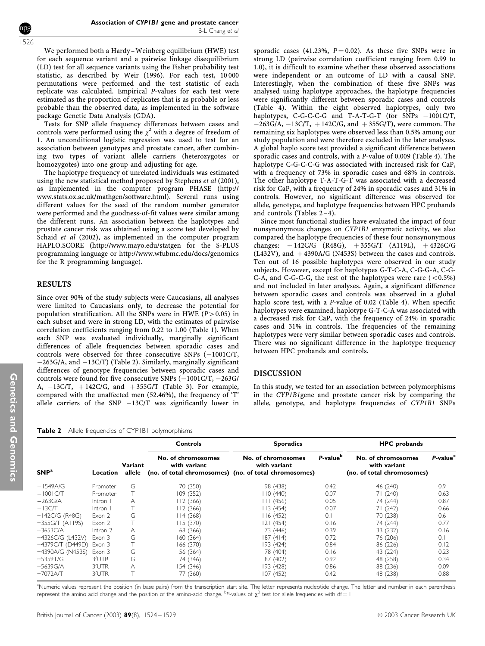We performed both a Hardy –Weinberg equilibrium (HWE) test for each sequence variant and a pairwise linkage disequilibrium (LD) test for all sequence variants using the Fisher probability test statistic, as described by Weir (1996). For each test, 10 000 permutations were performed and the test statistic of each replicate was calculated. Empirical P-values for each test were estimated as the proportion of replicates that is as probable or less probable than the observed data, as implemented in the software package Genetic Data Analysis (GDA).

Tests for SNP allele frequency differences between cases and controls were performed using the  $\chi^2$  with a degree of freedom of 1. An unconditional logistic regression was used to test for an association between genotypes and prostate cancer, after combining two types of variant allele carriers (heterozygotes or homozygotes) into one group and adjusting for age.

The haplotype frequency of unrelated individuals was estimated using the new statistical method proposed by Stephens et al (2001), as implemented in the computer program PHASE (http:// www.stats.ox.ac.uk/mathgen/software.html). Several runs using different values for the seed of the random number generator were performed and the goodness-of-fit values were similar among the different runs. An association between the haplotypes and prostate cancer risk was obtained using a score test developed by Schaid et al (2002), as implemented in the computer program HAPLO.SCORE (http://www.mayo.edu/statgen for the S-PLUS programming language or http://www.wfubmc.edu/docs/genomics for the R programming language).

## RESULTS

Since over 90% of the study subjects were Caucasians, all analyses were limited to Caucasians only, to decrease the potential for population stratification. All the SNPs were in HWE ( $P > 0.05$ ) in each subset and were in strong LD, with the estimates of pairwise correlation coefficients ranging from 0.22 to 1.00 (Table 1). When each SNP was evaluated individually, marginally significant differences of allele frequencies between sporadic cases and controls were observed for three consecutive SNPs  $(-1001C/T)$ ,  $-263G/A$ , and  $-13C/T$ ) (Table 2). Similarly, marginally significant differences of genotype frequencies between sporadic cases and controls were found for five consecutive SNPs  $(-1001C/T, -263G/$ A,  $-13C/T$ ,  $+142C/G$ , and  $+355G/T$  (Table 3). For example, compared with the unaffected men (52.46%), the frequency of 'T' allele carriers of the SNP  $-13C/T$  was significantly lower in

Table 2 Allele frequencies of CYP1B1 polymorphisms

sporadic cases (41.23%,  $P = 0.02$ ). As these five SNPs were in strong LD (pairwise correlation coefficient ranging from 0.99 to 1.0), it is difficult to examine whether these observed associations were independent or an outcome of LD with a causal SNP. Interestingly, when the combination of these five SNPs was analysed using haplotype approaches, the haplotype frequencies were significantly different between sporadic cases and controls (Table 4). Within the eight observed haplotypes, only two haplotypes, C-G-C-C-G and T-A-T-G-T (for SNPs  $-1001C/T$ ,  $-263G/A$ ,  $-13C/T$ ,  $+142C/G$ , and  $+355G/T$ ), were common. The remaining six haplotypes were observed less than 0.5% among our study population and were therefore excluded in the later analyses. A global haplo score test provided a significant difference between sporadic cases and controls, with a P-value of 0.009 (Table 4). The haplotype C-G-C-C-G was associated with increased risk for CaP, with a frequency of 73% in sporadic cases and 68% in controls. The other haplotype T-A-T-G-T was associated with a decreased risk for CaP, with a frequency of 24% in sporadic cases and 31% in controls. However, no significant difference was observed for allele, genotype, and haplotype frequencies between HPC probands and controls (Tables  $2-4$ ).

Since most functional studies have evaluated the impact of four nonsynonymous changes on CYP1B1 enzymatic activity, we also compared the haplotype frequencies of these four nonsynonymous changes:  $+142C/G$  (R48G),  $+355G/T$  (A119L),  $+4326C/G$ (L432V), and  $+4390A/G$  (N453S) between the cases and controls. Ten out of 16 possible haplotypes were observed in our study subjects. However, except for haplotypes G-T-C-A, C-G-G-A, C-G-C-A, and C-G-C-G, the rest of the haplotypes were rare  $(< 0.5\%)$ and not included in later analyses. Again, a significant difference between sporadic cases and controls was observed in a global haplo score test, with a P-value of 0.02 (Table 4). When specific haplotypes were examined, haplotype G-T-C-A was associated with a decreased risk for CaP, with the frequency of 24% in sporadic cases and 31% in controls. The frequencies of the remaining haplotypes were very similar between sporadic cases and controls. There was no significant difference in the haplotype frequency between HPC probands and controls.

#### DISCUSSION

In this study, we tested for an association between polymorphisms in the CYP1B1gene and prostate cancer risk by comparing the allele, genotype, and haplotype frequencies of CYP1B1 SNPs

| ${\sf SNP}^{\rm a}$ | Location | Variant<br>allele | <b>Controls</b>                    | <b>Sporadics</b>                                                                            |                      | <b>HPC</b> probands                                              |                      |
|---------------------|----------|-------------------|------------------------------------|---------------------------------------------------------------------------------------------|----------------------|------------------------------------------------------------------|----------------------|
|                     |          |                   | No. of chromosomes<br>with variant | No. of chromosomes<br>with variant<br>(no. of total chromosomes) (no. of total chromosomes) | P-value <sup>b</sup> | No. of chromosomes<br>with variant<br>(no. of total chromosomes) | P-value <sup>c</sup> |
| –1549A/G            | Promoter | G                 | 70 (350)                           | 98 (438)                                                                                    | 0.42                 | 46 (240)                                                         | 0.9                  |
| $-100$ IC/T         | Promoter |                   | 109(352)                           | 110 (440)                                                                                   | 0.07                 | 71 (240)                                                         | 0.63                 |
| –263G/A             | Intron   | A                 | 112 (366)                          | 111(456)                                                                                    | 0.05                 | 74 (244)                                                         | 0.87                 |
| $-13CT$             | Intron   |                   | 112 (366)                          | 3 (454)                                                                                     | 0.07                 | 71 (242)                                                         | 0.66                 |
| +142C/G (R48G)      | Exon 2   | G                 | 14 (368)                           | 116(452)                                                                                    | 0.1                  | 70 (238)                                                         | 0.6                  |
| +355G/T (AI 19S)    | Exon 2   |                   | 115(370)                           | 121 (454)                                                                                   | 0.16                 | 74 (244)                                                         | 0.77                 |
| +3653C/A            | Intron 2 | А                 | 68 (366)                           | 73 (446)                                                                                    | 0.39                 | 33 (232)                                                         | 0.16                 |
| +4326C/G (L432V)    | Exon 3   | G                 | 160(364)                           | 187 (414)                                                                                   | 0.72                 | 76 (206)                                                         | 0.1                  |
| +4379C/T (D449D)    | Exon 3   |                   | 166 (370)                          | 193 (424)                                                                                   | 0.84                 | 86 (226)                                                         | 0.12                 |
| +4390A/G (N453S)    | Exon 3   | G                 | 56 (364)                           | 78 (404)                                                                                    | 0.16                 | 43 (224)                                                         | 0.23                 |
| +5359T/G            | 3'UTR    | G                 | 74 (346)                           | 87 (402)                                                                                    | 0.92                 | 48 (258)                                                         | 0.34                 |
| +5639G/A            | 3'UTR    | Α                 | 154 (346)                          | 193 (428)                                                                                   | 0.86                 | 88 (236)                                                         | 0.09                 |
| +7072A/T            | 3'UTR    |                   | 77 (360)                           | 107 (452)                                                                                   | 0.42                 | 48 (238)                                                         | 0.88                 |

<sup>a</sup>Numeric values represent the position (in base pairs) from the transcription start site. The letter represents nucleotide change. The letter and number in each parenthesis represent the amino acid change and the position of the amino-acid change. <sup>b</sup>P-values of  $\chi^2$  test for allele frequencies with df = 1.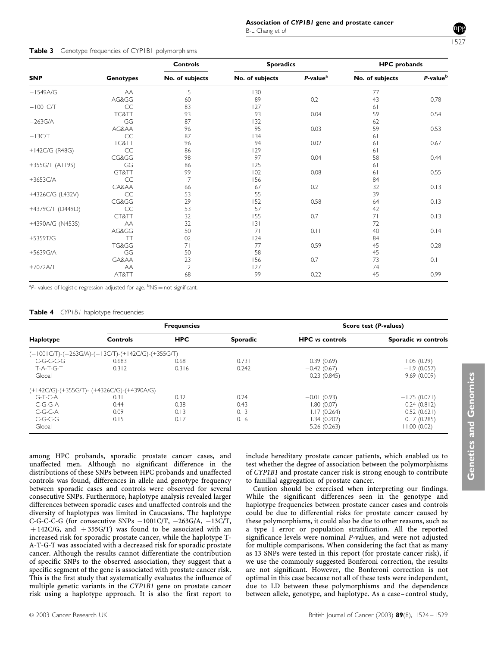## 1527

## Table 3 Genotype frequencies of CYP1B1 polymorphisms

|                  |                  | <b>Controls</b><br>No. of subjects | <b>Sporadics</b> |                      | <b>HPC</b> probands |                      |
|------------------|------------------|------------------------------------|------------------|----------------------|---------------------|----------------------|
| <b>SNP</b>       | <b>Genotypes</b> |                                    | No. of subjects  | P-value <sup>a</sup> | No. of subjects     | P-value <sup>b</sup> |
| $-1549A/G$       | AA               | 115                                | 130              |                      | 77                  |                      |
|                  | AG&GG            | 60                                 | 89               | 0.2                  | 43                  | 0.78                 |
| $-1001$ C/T      | CC               | 83                                 | 127              |                      | 61                  |                      |
|                  | TC&TT            | 93                                 | 93               | 0.04                 | 59                  | 0.54                 |
| $-263$ G/A       | GG               | 87                                 | 132              |                      | 62                  |                      |
|                  | AG&AA            | 96                                 | 95               | 0.03                 | 59                  | 0.53                 |
| $-13CT$          | CC               | 87                                 | 134              |                      | 61                  |                      |
|                  | TC&TT            | 96                                 | 94               | 0.02                 | 61                  | 0.67                 |
| +142C/G (R48G)   | CC               | 86                                 | 129              |                      | 61                  |                      |
|                  | CG&GG            | 98                                 | 97               | 0.04                 | 58                  | 0.44                 |
| +355G/T (AI 19S) | GG               | 86                                 | 125              |                      | 61                  |                      |
|                  | GT&TT            | 99                                 | 102              | 0.08                 | 61                  | 0.55                 |
| $+3653C/A$       | CC               | 117                                | 156              |                      | 84                  |                      |
|                  | CA&AA            | 66                                 | 67               | 0.2                  | 32                  | 0.13                 |
| +4326C/G (L432V) | CC               | 53                                 | 55               |                      | 39                  |                      |
|                  | CG&GG            | 129                                | 152              | 0.58                 | 64                  | 0.13                 |
| +4379C/T (D449D) | CC               | 53                                 | 57               |                      | 42                  |                      |
|                  | CT&TT            | 132                                | 155              | 0.7                  | 71                  | 0.13                 |
| +4390A/G (N453S) | AA               | 132                                | 3                |                      | 72                  |                      |
|                  | AG&GG            | 50                                 | 71               | 0.11                 | 40                  | 0.14                 |
| +5359T/G         | TT               | 102                                | 124              |                      | 84                  |                      |
|                  | TG&GG            | 71                                 | 77               | 0.59                 | 45                  | 0.28                 |
| +5639G/A         | GG               | 50                                 | 58               |                      | 45                  |                      |
|                  | GA&AA            | 123                                | 156              | 0.7                  | 73                  | 0.1                  |
| $+7072AT$        | AA               | 112                                | 127              |                      | 74                  |                      |
|                  | AT&TT            | 68                                 | 99               | 0.22                 | 45                  | 0.99                 |

<sup>a</sup>P- values of logistic regression adjusted for age. <sup>b</sup>NS = not significant.

#### Table 4 CYP1B1 haplotype frequencies

|                                                   |          | <b>Frequencies</b> |                 |                        | Score test (P-values) |
|---------------------------------------------------|----------|--------------------|-----------------|------------------------|-----------------------|
| Haplotype                                         | Controls | <b>HPC</b>         | <b>Sporadic</b> | <b>HPC</b> vs controls | Sporadic vs controls  |
| (-1001C/T)-(-263G/A)-(-13C/T)-(+142C/G)-(+355G/T) |          |                    |                 |                        |                       |
| C-G-C-C-G                                         | 0.683    | 0.68               | 0.731           | 0.39(0.69)             | 1.05(0.29)            |
| T-A-T-G-T                                         | 0.312    | 0.316              | 0.242           | $-0.42(0.67)$          | $-1.9(0.057)$         |
| Global                                            |          |                    |                 | 0.23(0.845)            | 9.69(0.009)           |
| (+142C/G)-(+355G/T)- (+4326C/G)-(+4390A/G)        |          |                    |                 |                        |                       |
| $G-T-C-A$                                         | 0.31     | 0.32               | 0.24            | $-0.01(0.93)$          | $-1.75(0.071)$        |
| C-G-G-A                                           | 0.44     | 0.38               | 0.43            | $-1.80(0.07)$          | $-0.24(0.812)$        |
| C-G-C-A                                           | 0.09     | 0.13               | 0.13            | 1.17(0.264)            | 0.52(0.621)           |
| C-G-C-G                                           | 0.15     | 0.17               | 0.16            | 1.34(0.202)            | 0.17(0.285)           |
| Global                                            |          |                    |                 | 5.26(0.263)            | 11.00(0.02)           |

among HPC probands, sporadic prostate cancer cases, and unaffected men. Although no significant difference in the distributions of these SNPs between HPC probands and unaffected controls was found, differences in allele and genotype frequency between sporadic cases and controls were observed for several consecutive SNPs. Furthermore, haplotype analysis revealed larger differences between sporadic cases and unaffected controls and the diversity of haplotypes was limited in Caucasians. The haplotype C-G-C-C-G (for consecutive SNPs  $-1001C/T$ ,  $-263G/A$ ,  $-13C/T$ ,  $+142C/G$ , and  $+355G/T$ ) was found to be associated with an increased risk for sporadic prostate cancer, while the haplotype T-A-T-G-T was associated with a decreased risk for sporadic prostate cancer. Although the results cannot differentiate the contribution of specific SNPs to the observed association, they suggest that a specific segment of the gene is associated with prostate cancer risk. This is the first study that systematically evaluates the influence of multiple genetic variants in the CYP1B1 gene on prostate cancer risk using a haplotype approach. It is also the first report to

include hereditary prostate cancer patients, which enabled us to test whether the degree of association between the polymorphisms of CYP1B1 and prostate cancer risk is strong enough to contribute to familial aggregation of prostate cancer.

Caution should be exercised when interpreting our findings. While the significant differences seen in the genotype and haplotype frequencies between prostate cancer cases and controls could be due to differential risks for prostate cancer caused by these polymorphisms, it could also be due to other reasons, such as a type I error or population stratification. All the reported significance levels were nominal P-values, and were not adjusted for multiple comparisons. When considering the fact that as many as 13 SNPs were tested in this report (for prostate cancer risk), if we use the commonly suggested Bonferoni correction, the results are not significant. However, the Bonferoni correction is not optimal in this case because not all of these tests were independent, due to LD between these polymorphisms and the dependence between allele, genotype, and haplotype. As a case – control study,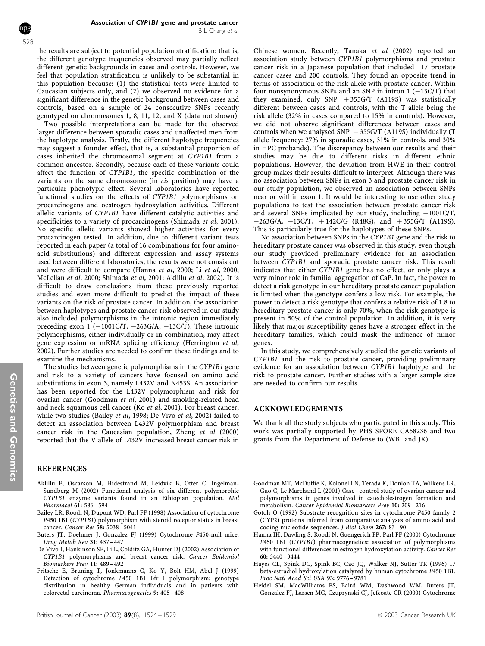1528

the results are subject to potential population stratification: that is, the different genotype frequencies observed may partially reflect different genetic backgrounds in cases and controls. However, we feel that population stratification is unlikely to be substantial in this population because: (1) the statistical tests were limited to Caucasian subjects only, and (2) we observed no evidence for a significant difference in the genetic background between cases and controls, based on a sample of 24 consecutive SNPs recently genotyped on chromosomes 1, 8, 11, 12, and X (data not shown).

Two possible interpretations can be made for the observed larger difference between sporadic cases and unaffected men from the haplotype analysis. Firstly, the different haplotype frequencies may suggest a founder effect, that is, a substantial proportion of cases inherited the chromosomal segment at CYP1B1 from a common ancestor. Secondly, because each of these variants could affect the function of CYP1B1, the specific combination of the variants on the same chromosome (in cis position) may have a particular phenotypic effect. Several laboratories have reported functional studies on the effects of CYP1B1 polymorphisms on procarcinogens and oestrogen hydroxylation activities. Different allelic variants of CYP1B1 have different catalytic activities and specificities to a variety of procarcinogens (Shimada et al, 2001). No specific allelic variants showed higher activities for every procarcinogen tested. In addition, due to different variant tests reported in each paper (a total of 16 combinations for four aminoacid substitutions) and different expression and assay systems used between different laboratories, the results were not consistent and were difficult to compare (Hanna et al, 2000; Li et al, 2000; McLellan et al, 2000; Shimada et al, 2001; Aklillu et al, 2002). It is difficult to draw conclusions from these previously reported studies and even more difficult to predict the impact of these variants on the risk of prostate cancer. In addition, the association between haplotypes and prostate cancer risk observed in our study also included polymorphisms in the intronic region immediately preceding exon 1 ( $-1001C/T$ ,  $-263G/A$ ,  $-13C/T$ ). These intronic polymorphisms, either individually or in combination, may affect gene expression or mRNA splicing efficiency (Herrington et al, 2002). Further studies are needed to confirm these findings and to examine the mechanisms.

The studies between genetic polymorphisms in the CYP1B1 gene and risk to a variety of cancers have focused on amino acid substitutions in exon 3, namely L432V and N453S. An association has been reported for the L432V polymorphism and risk for ovarian cancer (Goodman et al, 2001) and smoking-related head and neck squamous cell cancer (Ko et al, 2001). For breast cancer, while two studies (Bailey et al, 1998; De Vivo et al, 2002) failed to detect an association between L432V polymorphism and breast cancer risk in the Caucasian population, Zheng et al (2000) reported that the V allele of L432V increased breast cancer risk in

#### REFERENCES

- Aklillu E, Oscarson M, Hidestrand M, Leidvik B, Otter C, Ingelman-Sundberg M (2002) Functional analysis of six different polymorphic CYP1B1 enzyme variants found in an Ethiopian population. Mol Pharmacol 61: 586 – 594
- Bailey LR, Roodi N, Dupont WD, Parl FF (1998) Association of cytochrome P450 1B1 (CYP1B1) polymorphism with steroid receptor status in breast cancer. Cancer Res 58: 5038 – 5041
- Buters JT, Doehmer J, Gonzalez FJ (1999) Cytochrome P450-null mice. Drug Metab Rev 31: 437 – 447
- De Vivo I, Hankinson SE, Li L, Colditz GA, Hunter DJ (2002) Association of CYP1B1 polymorphisms and breast cancer risk. Cancer Epidemiol Biomarkers Prev 11: 489 – 492
- Fritsche E, Bruning T, Jonkmanns C, Ko Y, Bolt HM, Abel J (1999) Detection of cytochrome P450 1B1 Bfr I polymorphism: genotype distribution in healthy German individuals and in patients with colorectal carcinoma. Pharmacogenetics 9: 405 – 408

Chinese women. Recently, Tanaka et al (2002) reported an association study between CYP1B1 polymorphisms and prostate cancer risk in a Japanese population that included 117 prostate cancer cases and 200 controls. They found an opposite trend in terms of association of the risk allele with prostate cancer. Within four nonsynonymous SNPs and an SNP in intron  $1 (-13C/T)$  that they examined, only SNP  $+355G/T$  (A119S) was statistically different between cases and controls, with the T allele being the risk allele (32% in cases compared to 15% in controls). However, we did not observe significant differences between cases and controls when we analysed SNP  $+355$ G/T (A119S) individually (T allele frequency: 27% in sporadic cases, 31% in controls, and 30% in HPC probands). The discrepancy between our results and their studies may be due to different risks in different ethnic populations. However, the deviation from HWE in their control group makes their results difficult to interpret. Although there was no association between SNPs in exon 3 and prostate cancer risk in our study population, we observed an association between SNPs near or within exon 1. It would be interesting to use other study populations to test the association between prostate cancer risk and several SNPs implicated by our study, including  $-1001C/T$ ,  $-263G/A$ ,  $-13C/T$ ,  $+142C/G$  (R48G), and  $+355G/T$  (A119S). This is particularly true for the haplotypes of these SNPs.

No association between SNPs in the CYP1B1 gene and the risk to hereditary prostate cancer was observed in this study, even though our study provided preliminary evidence for an association between CYP1B1 and sporadic prostate cancer risk. This result indicates that either CYP1B1 gene has no effect, or only plays a very minor role in familial aggregation of CaP. In fact, the power to detect a risk genotype in our hereditary prostate cancer population is limited when the genotype confers a low risk. For example, the power to detect a risk genotype that confers a relative risk of 1.8 to hereditary prostate cancer is only 70%, when the risk genotype is present in 50% of the control population. In addition, it is very likely that major susceptibility genes have a stronger effect in the hereditary families, which could mask the influence of minor genes.

In this study, we comprehensively studied the genetic variants of CYP1B1 and the risk to prostate cancer, providing preliminary evidence for an association between CYP1B1 haplotype and the risk to prostate cancer. Further studies with a larger sample size are needed to confirm our results.

#### ACKNOWLEDGEMENTS

We thank all the study subjects who participated in this study. This work was partially supported by PHS SPORE CA58236 and two grants from the Department of Defense to (WBI and JX).

- Goodman MT, McDuffie K, Kolonel LN, Terada K, Donlon TA, Wilkens LR, Guo C, Le Marchand L (2001) Case – control study of ovarian cancer and polymorphisms in genes involved in catecholestrogen formation and metabolism. Cancer Epidemiol Biomarkers Prev 10: 209 – 216
- Gotoh O (1992) Substrate recognition sites in cytochrome P450 family 2 (CYP2) proteins inferred from comparative analyses of amino acid and coding nucleotide sequences. J Biol Chem 267: 83 – 90
- Hanna IH, Dawling S, Roodi N, Guengerich FP, Parl FF (2000) Cytochrome P450 1B1 (CYP1B1) pharmacogenetics: association of polymorphisms with functional differences in estrogen hydroxylation activity. Cancer Res 60: 3440 – 3444
- Hayes CL, Spink DC, Spink BC, Cao JQ, Walker NJ, Sutter TR (1996) 17 beta-estradiol hydroxylation catalyzed by human cytochrome P450 1B1. Proc Natl Acad Sci USA 93: 9776 – 9781
- Heidel SM, MacWilliams PS, Baird WM, Dashwood WM, Buters JT, Gonzalez FJ, Larsen MC, Czuprynski CJ, Jefcoate CR (2000) Cytochrome